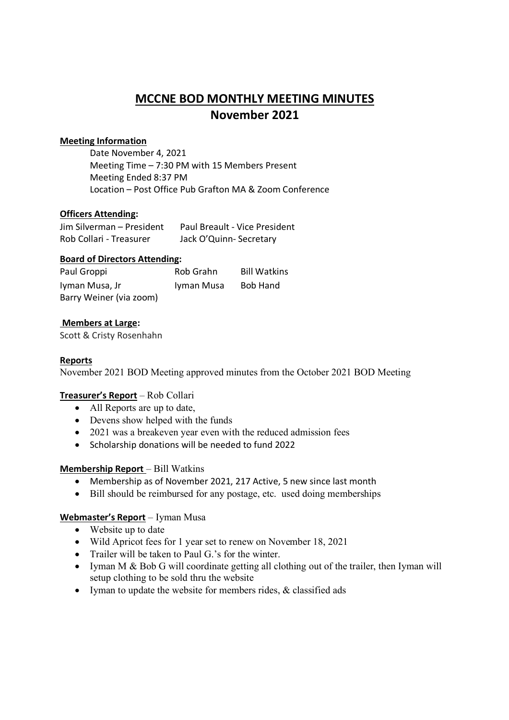# **MCCNE BOD MONTHLY MEETING MINUTES November 2021**

## **Meeting Information**

Date November 4, 2021 Meeting Time – 7:30 PM with 15 Members Present Meeting Ended 8:37 PM Location – Post Office Pub Grafton MA & Zoom Conference

# **Officers Attending:**

| Jim Silverman - President | Paul Breault - Vice President |
|---------------------------|-------------------------------|
| Rob Collari - Treasurer   | Jack O'Quinn-Secretary        |

### **Board of Directors Attending:**

| Paul Groppi             | Rob Grahn  | <b>Bill Watkins</b> |
|-------------------------|------------|---------------------|
| Iyman Musa, Jr          | Iyman Musa | <b>Bob Hand</b>     |
| Barry Weiner (via zoom) |            |                     |

# **Members at Large:**

Scott & Cristy Rosenhahn

### **Reports**

November 2021 BOD Meeting approved minutes from the October 2021 BOD Meeting

### **Treasurer's Report** – Rob Collari

- All Reports are up to date,
- Devens show helped with the funds
- 2021 was a breakeven year even with the reduced admission fees
- Scholarship donations will be needed to fund 2022

### **Membership Report** – Bill Watkins

- Membership as of November 2021, 217 Active, 5 new since last month
- Bill should be reimbursed for any postage, etc. used doing memberships

### **Webmaster's Report** – Iyman Musa

- Website up to date
- Wild Apricot fees for 1 year set to renew on November 18, 2021
- Trailer will be taken to Paul G.'s for the winter.
- Iyman M & Bob G will coordinate getting all clothing out of the trailer, then Iyman will setup clothing to be sold thru the website
- Iyman to update the website for members rides, & classified ads